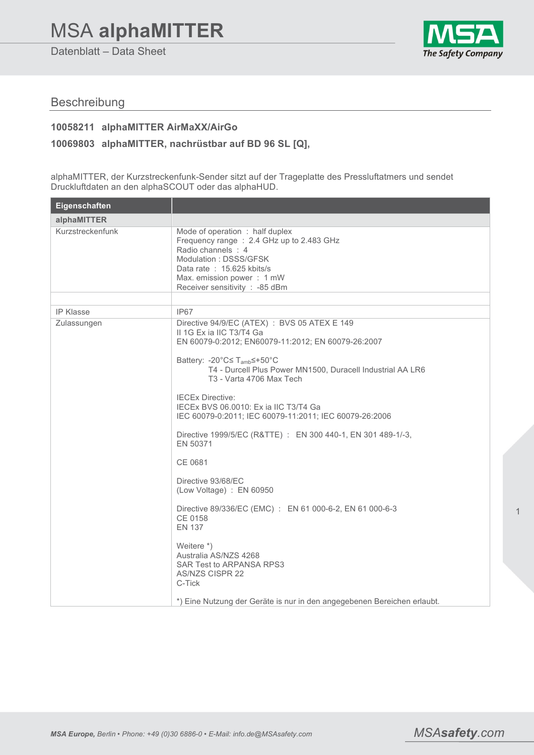# MSA **alphaMITTER**

Datenblatt – Data Sheet



## Beschreibung

#### **10058211 alphaMITTER AirMaXX/AirGo**

#### **10069803 alphaMITTER, nachrüstbar auf BD 96 SL [Q],**

alphaMITTER, der Kurzstreckenfunk-Sender sitzt auf der Trageplatte des Pressluftatmers und sendet Druckluftdaten an den alphaSCOUT oder das alphaHUD.

| Eigenschaften                   |                                                                                                                                                                                                                                                                                                                                                                                                                                                                                                                                                                                                                                                                                                                                                                                                                              |
|---------------------------------|------------------------------------------------------------------------------------------------------------------------------------------------------------------------------------------------------------------------------------------------------------------------------------------------------------------------------------------------------------------------------------------------------------------------------------------------------------------------------------------------------------------------------------------------------------------------------------------------------------------------------------------------------------------------------------------------------------------------------------------------------------------------------------------------------------------------------|
| alphaMITTER                     |                                                                                                                                                                                                                                                                                                                                                                                                                                                                                                                                                                                                                                                                                                                                                                                                                              |
| Kurzstreckenfunk                | Mode of operation : half duplex<br>Frequency range: 2.4 GHz up to 2.483 GHz<br>Radio channels : 4<br>Modulation: DSSS/GFSK<br>Data rate: 15.625 kbits/s<br>Max. emission power: 1 mW<br>Receiver sensitivity : - 85 dBm                                                                                                                                                                                                                                                                                                                                                                                                                                                                                                                                                                                                      |
|                                 |                                                                                                                                                                                                                                                                                                                                                                                                                                                                                                                                                                                                                                                                                                                                                                                                                              |
| <b>IP Klasse</b><br>Zulassungen | IP67<br>Directive 94/9/EC (ATEX) : BVS 05 ATEX E 149<br>II 1G Ex ia IIC T3/T4 Ga<br>EN 60079-0:2012; EN60079-11:2012; EN 60079-26:2007<br>Battery: -20°C≤ T <sub>amb</sub> ≤+50°C<br>T4 - Durcell Plus Power MN1500, Duracell Industrial AA LR6<br>T3 - Varta 4706 Max Tech<br><b>IECEx Directive:</b><br>IECEX BVS 06.0010: Ex ia IIC T3/T4 Ga<br>IEC 60079-0:2011; IEC 60079-11:2011; IEC 60079-26:2006<br>Directive 1999/5/EC (R&TTE) : EN 300 440-1, EN 301 489-1/-3,<br>EN 50371<br>CE 0681<br>Directive 93/68/EC<br>(Low Voltage) : EN 60950<br>Directive 89/336/EC (EMC) : EN 61 000-6-2, EN 61 000-6-3<br>CE 0158<br><b>EN 137</b><br>Weitere *)<br>Australia AS/NZS 4268<br>SAR Test to ARPANSA RPS3<br><b>AS/NZS CISPR 22</b><br>C-Tick<br>*) Eine Nutzung der Geräte is nur in den angegebenen Bereichen erlaubt. |

1